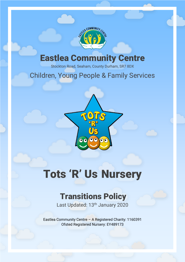

## Eastlea Community Centre

Stockton Road, Seaham, County Durham, SR7 8DX

## Children, Young People & Family Services



# Tots 'R' Us Nursery

## Transitions Policy

Last Updated: 13<sup>th</sup> January 2020

Eastlea Community Centre – A Registered Charity: 1160391 Ofsted Registered Nursery: EY489173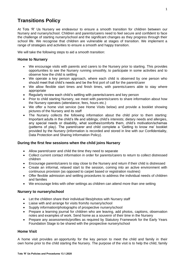### **Transitions Policy**

At Tots 'R' Us Nursery we endeavour to ensure a smooth transition for children between our Nursery and nursery/school. Children and parents/carers need to feel secure and confident to face the challenge of starting nursery/school and the significant changes as they progress through their school life. We recognise that children are vulnerable at stages of transition. We implement a range of strategies and activities to ensure a smooth and happy transition.

We will take the following steps to aid a smooth transition:

#### **Home to Nursery**

- We encourage visits with parents and carers to the Nursery prior to starting. This provides opportunities to see the Nursery running smoothly, to participate in some activities and to observe how the child is settling
- We operate a key person approach, where each child is observed by one person who should meet that child's needs and be the first port of call for the parent/carer
- We allow flexible start times and finish times, with parents/carers able to stay where appropriate
- Regularly review each child's settling with parents/carers and key person
- Prior to child starting Nursery, we meet with parents/carers to share information about how the Nursery operates (attendance, fees, hours etc.)
- We offer a home visit service (see Home Visits below) and provide a booklet showing pictures of the Nursery and its staff
- The Nursery collects the following information about the child prior to them starting: Important adults in the child's life and siblings; child's interests; dietary needs and allergies, any special needs or disability, what soothes/comforts them, child's motivation/schemas (patterns of play). The parent/carer and child complete a 'Getting to know me' booklet provided by the Nursery (information is recorded and stored in line with our Confidentiality, Data Protection and Sharing Information Policy).

#### **During the first few sessions when the child joins Nursery**

- Allow parent/carer and child the time they need to separate
- Collect current contact information in order for parents/carers to return to collect distressed children
- Encourage parents/carers to stay close to the Nursery and return if their child is distressed
- Create an informal, relaxed start to the session, coming into an active environment with continuous provision (as opposed to carpet based or registration routines)
- Offer flexible admission and settling procedures to address the individual needs of children and families
- We encourage links with other settings as children can attend more than one setting

#### **Nursery to nursery/school**

- Let the children share their individual files/photos with Nursery staff
- Liaise with and arrange for visits from/to nursery/school
- Supply information/photographs of prospective nursery/school
- Prepare a learning journal for children who are leaving, add photos, captions, observation notes and examples of work. Send home as a souvenir of their time in the Nursery
- Prepare any assessments/profiles as required by Statutory Framework for the Early Years Foundation Stage to be shared with the prospective nursery/school

#### **Home Visit**

A home visit provides an opportunity for the key person to meet the child and family in their own home prior to the child starting the Nursery. The purpose of the visit is to help the child, family